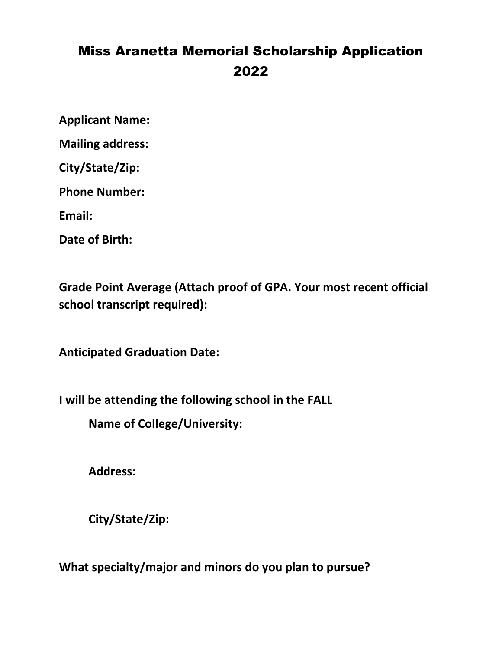# Miss Aranetta Memorial Scholarship Application 2022

**Applicant Name:**

**Mailing address:**

**City/State/Zip:**

**Phone Number:**

**Email:**

**Date of Birth:**

**Grade Point Average (Attach proof of GPA. Your most recent official school transcript required):**

**Anticipated Graduation Date:**

**I will be attending the following school in the FALL**

**Name of College/University:**

**Address:**

**City/State/Zip:**

**What specialty/major and minors do you plan to pursue?**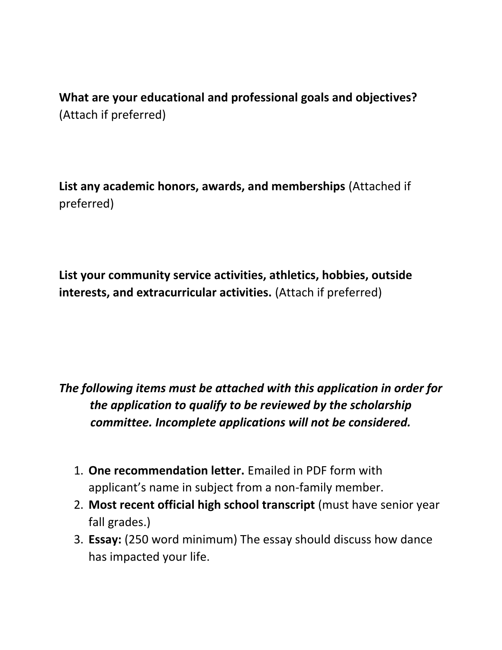**What are your educational and professional goals and objectives?**  (Attach if preferred)

**List any academic honors, awards, and memberships** (Attached if preferred)

**List your community service activities, athletics, hobbies, outside interests, and extracurricular activities.** (Attach if preferred)

# *The following items must be attached with this application in order for the application to qualify to be reviewed by the scholarship committee. Incomplete applications will not be considered.*

- 1. **One recommendation letter.** Emailed in PDF form with applicant's name in subject from a non-family member.
- 2. **Most recent official high school transcript** (must have senior year fall grades.)
- 3. **Essay:** (250 word minimum) The essay should discuss how dance has impacted your life.